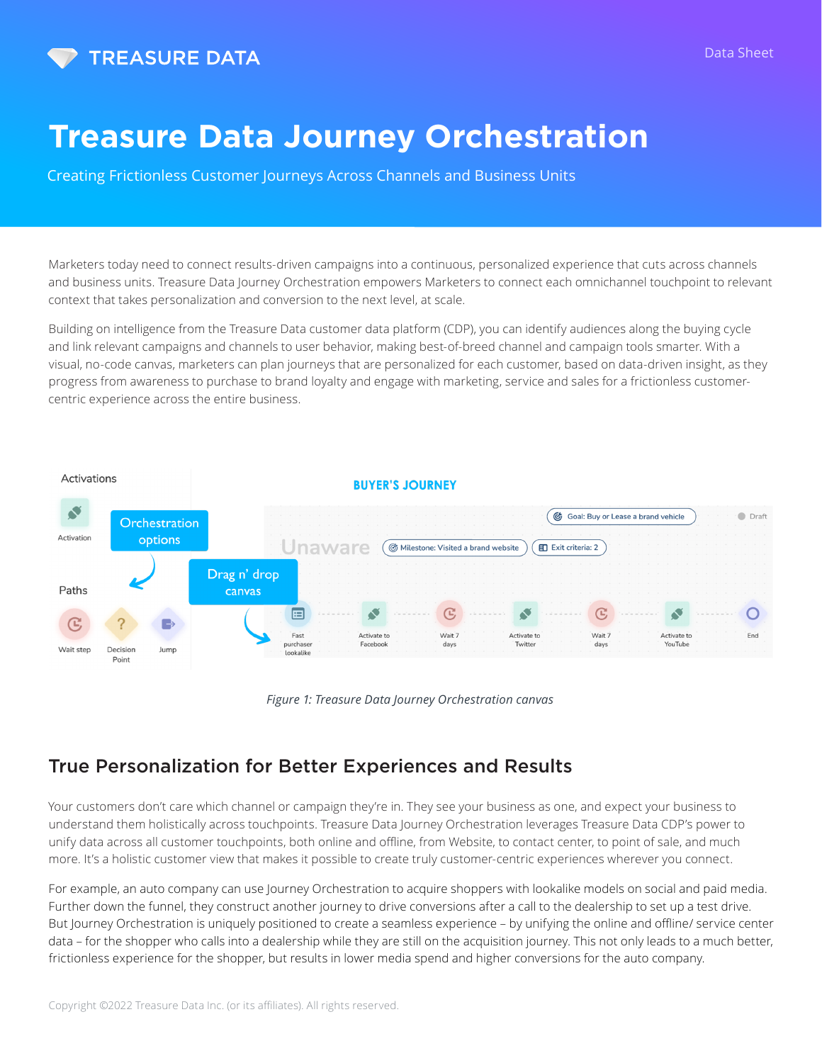

# **Treasure Data Journey Orchestration**

Creating Frictionless Customer Journeys Across Channels and Business Units

Marketers today need to connect results-driven campaigns into a continuous, personalized experience that cuts across channels and business units. Treasure Data Journey Orchestration empowers Marketers to connect each omnichannel touchpoint to relevant context that takes personalization and conversion to the next level, at scale.

Building on intelligence from the Treasure Data customer data platform (CDP), you can identify audiences along the buying cycle and link relevant campaigns and channels to user behavior, making best-of-breed channel and campaign tools smarter. With a visual, no-code canvas, marketers can plan journeys that are personalized for each customer, based on data-driven insight, as they progress from awareness to purchase to brand loyalty and engage with marketing, service and sales for a frictionless customercentric experience across the entire business.



*Figure 1: Treasure Data Journey Orchestration canvas*

### True Personalization for Better Experiences and Results

Your customers don't care which channel or campaign they're in. They see your business as one, and expect your business to understand them holistically across touchpoints. Treasure Data Journey Orchestration leverages Treasure Data CDP's power to unify data across all customer touchpoints, both online and offline, from Website, to contact center, to point of sale, and much more. It's a holistic customer view that makes it possible to create truly customer-centric experiences wherever you connect.

For example, an auto company can use Journey Orchestration to acquire shoppers with lookalike models on social and paid media. Further down the funnel, they construct another journey to drive conversions after a call to the dealership to set up a test drive. But Journey Orchestration is uniquely positioned to create a seamless experience – by unifying the online and offline/ service center data – for the shopper who calls into a dealership while they are still on the acquisition journey. This not only leads to a much better, frictionless experience for the shopper, but results in lower media spend and higher conversions for the auto company.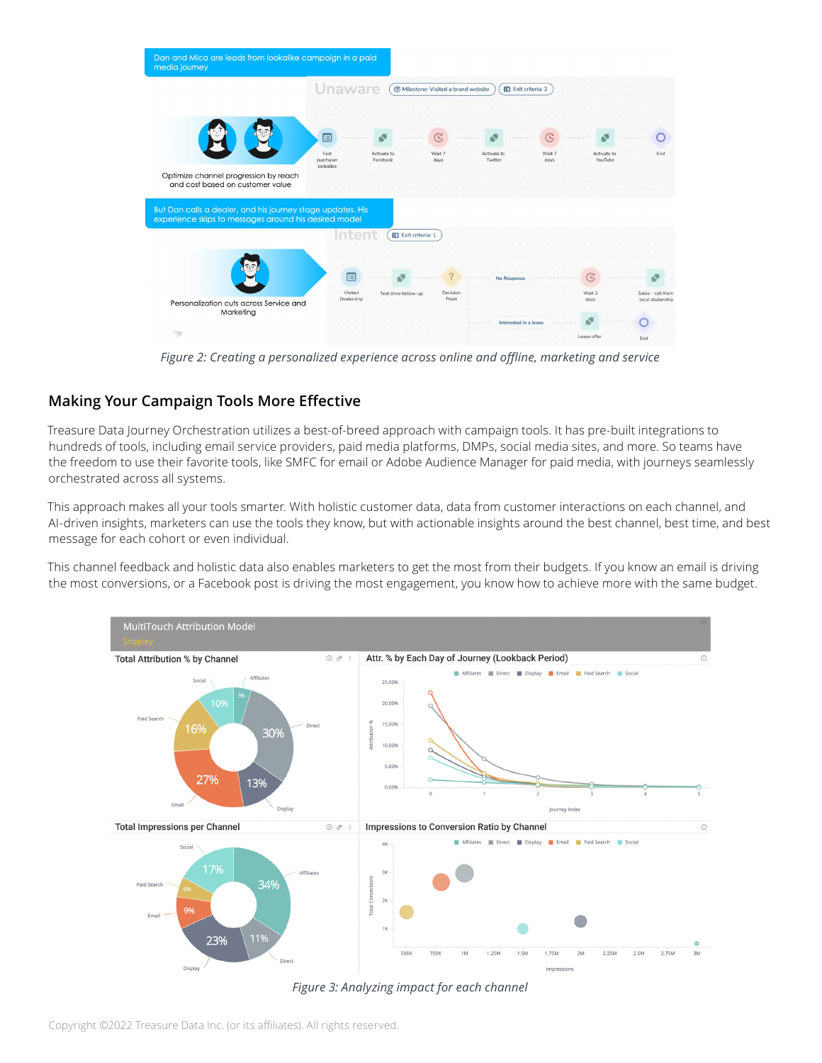

*Figure 2: Creating a personalized experience across online and offline, marketing and service*

### **Making Your Campaign Tools More Effective**

Treasure Data Journey Orchestration utilizes a best-of-breed approach with campaign tools. It has pre-built integrations to hundreds of tools, including email service providers, paid media platforms, DMPs, social media sites, and more. So teams have the freedom to use their favorite tools, like SMFC for email or Adobe Audience Manager for paid media, with journeys seamlessly orchestrated across all systems.

This approach makes all your tools smarter. With holistic customer data, data from customer interactions on each channel, and AI-driven insights, marketers can use the tools they know, but with actionable insights around the best channel, best time, and best message for each cohort or even individual.

This channel feedback and holistic data also enables marketers to get the most from their budgets. If you know an email is driving the most conversions, or a Facebook post is driving the most engagement, you know how to achieve more with the same budget.



*Figure 3: Analyzing impact for each channel*